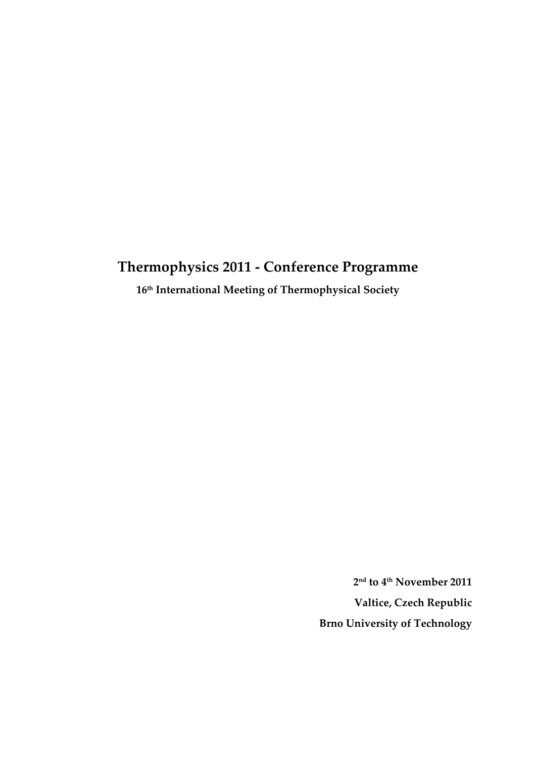# **Thermophysics 2011 ‐ Conference Programme**

**16th International Meeting of Thermophysical Society**

**2nd to 4th November 2011 Valtice, Czech Republic Brno University of Technology**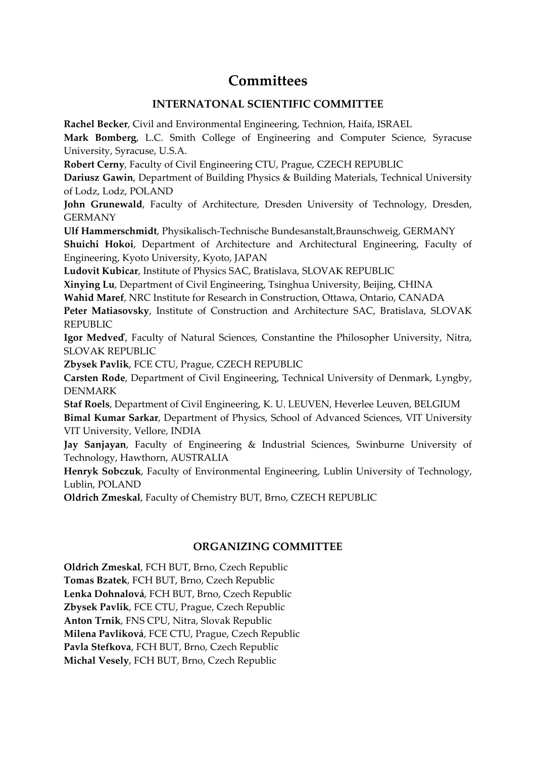# **Committees**

#### **INTERNATONAL SCIENTIFIC COMMITTEE**

**Rachel Becker**, Civil and Environmental Engineering, Technion, Haifa, ISRAEL

**Mark Bomberg**, L.C. Smith College of Engineering and Computer Science, Syracuse University, Syracuse, U.S.A.

**Robert Cerny**, Faculty of Civil Engineering CTU, Prague, CZECH REPUBLIC

**Dariusz Gawin**, Department of Building Physics & Building Materials, Technical University of Lodz, Lodz, POLAND

**John Grunewald**, Faculty of Architecture, Dresden University of Technology, Dresden, GERMANY

**Ulf Hammerschmidt**, Physikalisch‐Technische Bundesanstalt,Braunschweig, GERMANY

**Shuichi Hokoi**, Department of Architecture and Architectural Engineering, Faculty of Engineering, Kyoto University, Kyoto, JAPAN

**Ludovit Kubicar**, Institute of Physics SAC, Bratislava, SLOVAK REPUBLIC

**Xinying Lu**, Department of Civil Engineering, Tsinghua University, Beijing, CHINA

**Wahid Maref**, NRC Institute for Research in Construction, Ottawa, Ontario, CANADA

**Peter Matiasovsky**, Institute of Construction and Architecture SAC, Bratislava, SLOVAK REPUBLIC

**Igor Medveď**, Faculty of Natural Sciences, Constantine the Philosopher University, Nitra, SLOVAK REPUBLIC

**Zbysek Pavlik**, FCE CTU, Prague, CZECH REPUBLIC

**Carsten Rode**, Department of Civil Engineering, Technical University of Denmark, Lyngby, DENMARK

**Staf Roels**, Department of Civil Engineering, K. U. LEUVEN, Heverlee Leuven, BELGIUM **Bimal Kumar Sarkar**, Department of Physics, School of Advanced Sciences, VIT University VIT University, Vellore, INDIA

**Jay Sanjayan**, Faculty of Engineering & Industrial Sciences, Swinburne University of Technology, Hawthorn, AUSTRALIA

**Henryk Sobczuk**, Faculty of Environmental Engineering, Lublin University of Technology, Lublin, POLAND

**Oldrich Zmeskal**, Faculty of Chemistry BUT, Brno, CZECH REPUBLIC

## **ORGANIZING COMMITTEE**

**Oldrich Zmeskal**, FCH BUT, Brno, Czech Republic **Tomas Bzatek**, FCH BUT, Brno, Czech Republic **Lenka Dohnalová**, FCH BUT, Brno, Czech Republic **Zbysek Pavlik**, FCE CTU, Prague, Czech Republic **Anton Trnik**, FNS CPU, Nitra, Slovak Republic **Milena Pavlíková**, FCE CTU, Prague, Czech Republic **Pavla Stefkova**, FCH BUT, Brno, Czech Republic **Michal Vesely**, FCH BUT, Brno, Czech Republic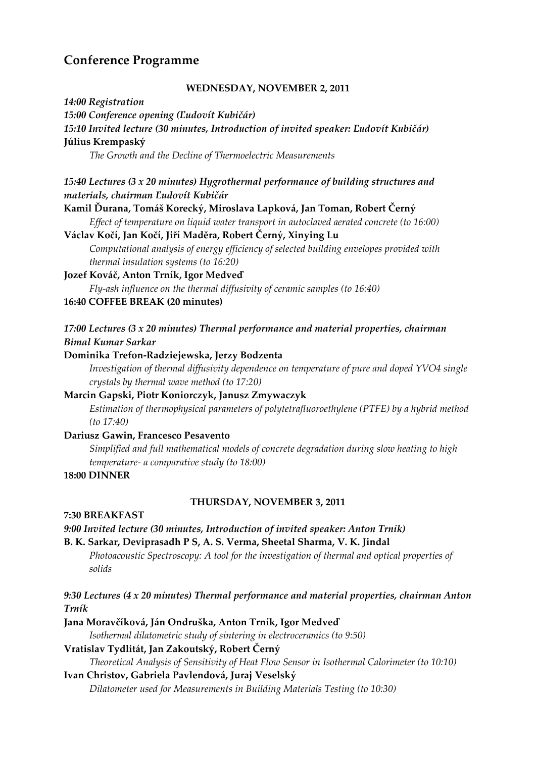# **Conference Programme**

#### **WEDNESDAY, NOVEMBER 2, 2011**

*14:00 Registration 15:00 Conference opening (Ľudovít Kubičár) 15:10 Invited lecture (30 minutes, Introduction of invited speaker: Ľudovít Kubičár)* **Július Krempaský** *The Growth and the Decline of Thermoelectric Measurements 15:40 Lectures (3 x 20 minutes) Hygrothermal performance of building structures and materials, chairman Ľudovít Kubičár* **Kamil Ďurana, Tomáš Korecký, Miroslava Lapková, Jan Toman, Robert Černý** *Effect of temperature on liquid water transport in autoclaved aerated concrete (to 16:00)* **Václav Kočí, Jan Kočí, Jiří Maděra, Robert Černý, Xinying Lu** *Computational analysis of energy efficiency of selected building envelopes provided with thermal insulation systems (to 16:20)* **Jozef Kováč, Anton Trník, Igor Medveď**  *Fly‐ash influence on the thermal diffusivity of ceramic samples (to 16:40)* **16:40 COFFEE BREAK (20 minutes)** *17:00 Lectures (3 x 20 minutes) Thermal performance and material properties, chairman Bimal Kumar Sarkar* **Dominika Trefon‐Radziejewska, Jerzy Bodzenta** *Investigation of thermal diffusivity dependence on temperature of pure and doped YVO4 single crystals by thermal wave method (to 17:20)* **Marcin Gapski, Piotr Koniorczyk, Janusz Zmywaczyk** *Estimation of thermophysical parameters of polytetrafluoroethylene (PTFE) by a hybrid method (to 17:40)* **Dariusz Gawin, Francesco Pesavento** *Simplified and full mathematical models of concrete degradation during slow heating to high temperature‐ a comparative study (to 18:00)* **18:00 DINNER THURSDAY, NOVEMBER 3, 2011 7:30 BREAKFAST**  *9:00 Invited lecture (30 minutes, Introduction of invited speaker: Anton Trnik)* **B. K. Sarkar, Deviprasadh P S, A. S. Verma, Sheetal Sharma, V. K. Jindal** *Photoacoustic Spectroscopy: A tool for the investigation of thermal and optical properties of solids 9:30 Lectures (4 x 20 minutes) Thermal performance and material properties, chairman Anton Trník* **Jana Moravčíková, Ján Ondruška, Anton Trník, Igor Medveď**  *Isothermal dilatometric study of sintering in electroceramics (to 9:50)* **Vratislav Tydlitát, Jan Zakoutský, Robert Černý**

#### *Theoretical Analysis of Sensitivity of Heat Flow Sensor in Isothermal Calorimeter (to 10:10)*

#### **Ivan Christov, Gabriela Pavlendová, Juraj Veselský**

*Dilatometer used for Measurements in Building Materials Testing (to 10:30)*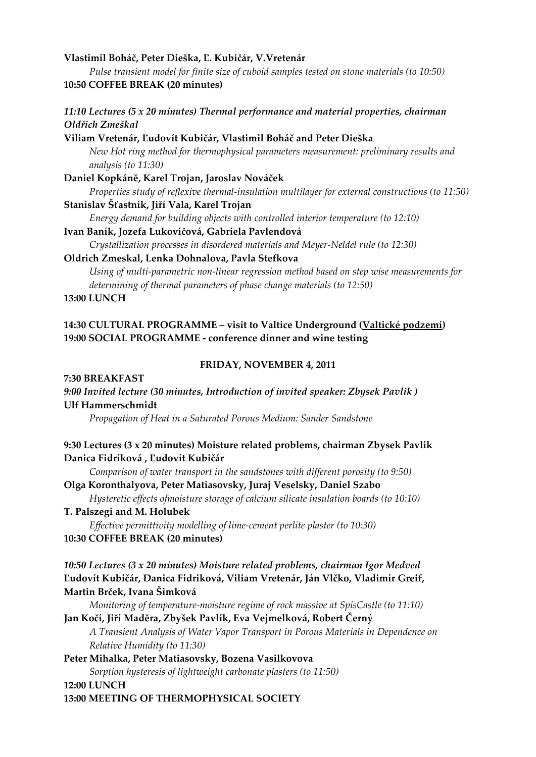#### **Vlastimil Boháč, Peter Dieška, Ľ. Kubičár, V.Vretenár**

*Pulse transient model for finite size of cuboid samples tested on stone materials (to 10:50)* **10:50 COFFEE BREAK (20 minutes)**

#### *11:10 Lectures (5 x 20 minutes) Thermal performance and material properties, chairman Oldřich Zmeškal*

#### **Viliam Vretenár, Ľudovít Kubičár, Vlastimil Boháč and Peter Dieška**

*New Hot ring method for thermophysical parameters measurement: preliminary results and analysis (to 11:30)*

#### **Daniel Kopkáně, Karel Trojan, Jaroslav Nováček**

*Properties study of reflexive thermal‐insulation multilayer for external constructions (to 11:50)* **Stanislav Šťastník, Jiří Vala, Karel Trojan**

*Energy demand for building objects with controlled interior temperature (to 12:10)*

#### **Ivan Baník, Jozefa Lukovičová, Gabriela Pavlendová**

*Crystallization processes in disordered materials and Meyer‐Neldel rule (to 12:30)*

#### **Oldrich Zmeskal, Lenka Dohnalova, Pavla Stefkova**

*Using of multi‐parametric non‐linear regression method based on step wise measurements for determining of thermal parameters of phase change materials (to 12:50)*

#### **13:00 LUNCH**

#### **14:30 CULTURAL PROGRAMME – visit to Valtice Underground (Valtické podzemí) 19:00 SOCIAL PROGRAMME ‐ conference dinner and wine testing**

#### **FRIDAY, NOVEMBER 4, 2011**

#### **7:30 BREAKFAST**

*9:00 Invited lecture (30 minutes, Introduction of invited speaker: Zbysek Pavlik )* **Ulf Hammerschmidt**

*Propagation of Heat in a Saturated Porous Medium: Sander Sandstone*

#### **9:30 Lectures (3 x 20 minutes) Moisture related problems, chairman Zbysek Pavlik Danica Fidríková , Ľudovít Kubičár**

*Comparison of water transport in the sandstones with different porosity (to 9:50)* **Olga Koronthalyova, Peter Matiasovsky, Juraj Veselsky, Daniel Szabo**

*Hysteretic effects ofmoisture storage of calcium silicate insulation boards (to 10:10)* **T. Palszegi and M. Holubek**

*Effective permittivity modelling of lime‐cement perlite plaster (to 10:30)* **10:30 COFFEE BREAK (20 minutes)**

#### *10:50 Lectures (3 x 20 minutes) Moisture related problems, chairman Igor Medved*  **Ľudovít Kubičár, Danica Fidriková, Viliam Vretenár, Ján Vlčko, Vladimír Greif, Martin Brček, Ivana Šimková**

*Monitoring of temperature‐moisture regime of rock massive at SpisCastle (to 11:10)*

**Jan Kočí, Jiří Maděra, Zbyšek Pavlík, Eva Vejmelková, Robert Černý** *A Transient Analysis of Water Vapor Transport in Porous Materials in Dependence on Relative Humidity (to 11:30)*

#### **Peter Mihalka, Peter Matiasovsky, Bozena Vasilkovova** *Sorption hysteresis of lightweight carbonate plasters (to 11:50)*

#### **12:00 LUNCH**

**13:00 MEETING OF THERMOPHYSICAL SOCIETY**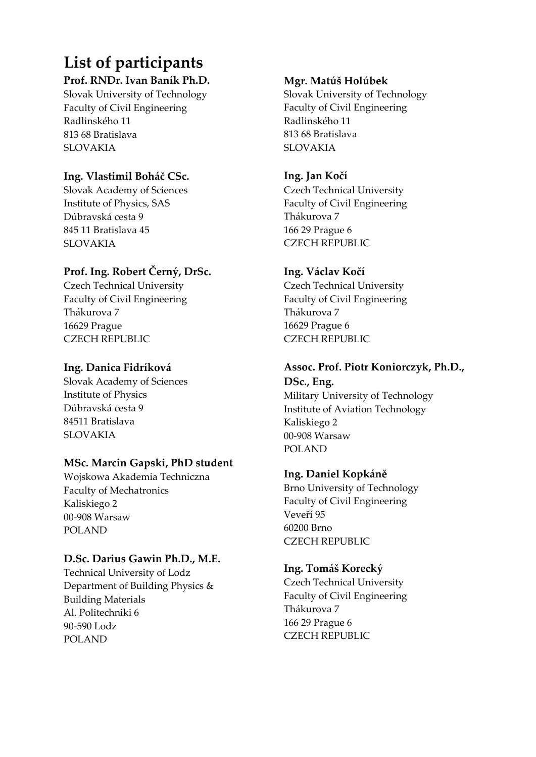# **List of participants**

# **Prof. RNDr. Ivan Baník Ph.D.**

Slovak University of Technology Faculty of Civil Engineering Radlinského 11 813 68 Bratislava SLOVAKIA

# **Ing. Vlastimil Boháč CSc.**

Slovak Academy of Sciences Institute of Physics, SAS Dúbravská cesta 9 845 11 Bratislava 45 SLOVAKIA

# **Prof. Ing. Robert Černý, DrSc.**

Czech Technical University Faculty of Civil Engineering Thákurova 7 16629 Prague CZECH REPUBLIC

# **Ing. Danica Fidríková**

Slovak Academy of Sciences Institute of Physics Dúbravská cesta 9 84511 Bratislava SLOVAKIA

# **MSc. Marcin Gapski, PhD student**

Wojskowa Akademia Techniczna Faculty of Mechatronics Kaliskiego 2 00‐908 Warsaw POLAND

# **D.Sc. Darius Gawin Ph.D., M.E.**

Technical University of Lodz Department of Building Physics & Building Materials Al. Politechniki 6 90‐590 Lodz POLAND

# **Mgr. Matúš Holúbek**

Slovak University of Technology Faculty of Civil Engineering Radlinského 11 813 68 Bratislava SLOVAKIA

# **Ing. Jan Kočí**

Czech Technical University Faculty of Civil Engineering Thákurova 7 166 29 Prague 6 CZECH REPUBLIC

# **Ing. Václav Kočí**

Czech Technical University Faculty of Civil Engineering Thákurova 7 16629 Prague 6 CZECH REPUBLIC

# **Assoc. Prof. Piotr Koniorczyk, Ph.D.,**

**DSc., Eng.** Military University of Technology Institute of Aviation Technology Kaliskiego 2 00‐908 Warsaw POLAND

# **Ing. Daniel Kopkáně**

Brno University of Technology Faculty of Civil Engineering Veveří 95 60200 Brno CZECH REPUBLIC

# **Ing. Tomáš Korecký**

Czech Technical University Faculty of Civil Engineering Thákurova 7 166 29 Prague 6 CZECH REPUBLIC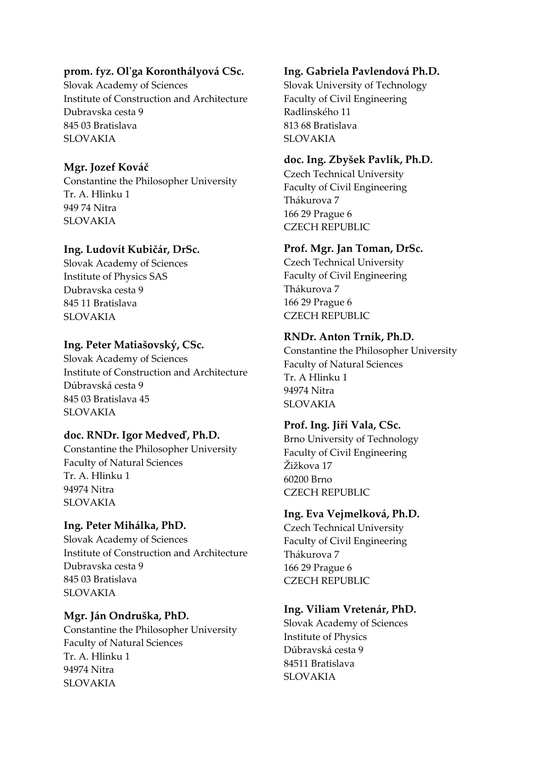## **prom. fyz. Olʹga Koronthályová CSc.**

Slovak Academy of Sciences Institute of Construction and Architecture Dubravska cesta 9 845 03 Bratislava SLOVAKIA

# **Mgr. Jozef Kováč**

Constantine the Philosopher University Tr. A. Hlinku 1 949 74 Nitra SLOVAKIA

## **Ing. Ludovít Kubičár, DrSc.**

Slovak Academy of Sciences Institute of Physics SAS Dubravska cesta 9 845 11 Bratislava SLOVAKIA

# **Ing. Peter Matiašovský, CSc.**

Slovak Academy of Sciences Institute of Construction and Architecture Dúbravská cesta 9 845 03 Bratislava 45 SLOVAKIA

## **doc. RNDr. Igor Medveď, Ph.D.**

Constantine the Philosopher University Faculty of Natural Sciences Tr. A. Hlinku 1 94974 Nitra SLOVAKIA

# **Ing. Peter Mihálka, PhD.**

Slovak Academy of Sciences Institute of Construction and Architecture Dubravska cesta 9 845 03 Bratislava SLOVAKIA

**Mgr. Ján Ondruška, PhD.**  Constantine the Philosopher University Faculty of Natural Sciences Tr. A. Hlinku 1 94974 Nitra SLOVAKIA

# **Ing. Gabriela Pavlendová Ph.D.**

Slovak University of Technology Faculty of Civil Engineering Radlinského 11 813 68 Bratislava SLOVAKIA

# **doc. Ing. Zbyšek Pavlík, Ph.D.**

Czech Technical University Faculty of Civil Engineering Thákurova 7 166 29 Prague 6 CZECH REPUBLIC

# **Prof. Mgr. Jan Toman, DrSc.**

Czech Technical University Faculty of Civil Engineering Thákurova 7 166 29 Prague 6 CZECH REPUBLIC

## **RNDr. Anton Trník, Ph.D.**

Constantine the Philosopher University Faculty of Natural Sciences Tr. A Hlinku 1 94974 Nitra SLOVAKIA

# **Prof. Ing. Jiří Vala, CSc.**

Brno University of Technology Faculty of Civil Engineering Žižkova 17 60200 Brno CZECH REPUBLIC

## **Ing. Eva Vejmelková, Ph.D.**

Czech Technical University Faculty of Civil Engineering Thákurova 7 166 29 Prague 6 CZECH REPUBLIC

# **Ing. Viliam Vretenár, PhD.**

Slovak Academy of Sciences Institute of Physics Dúbravská cesta 9 84511 Bratislava SLOVAKIA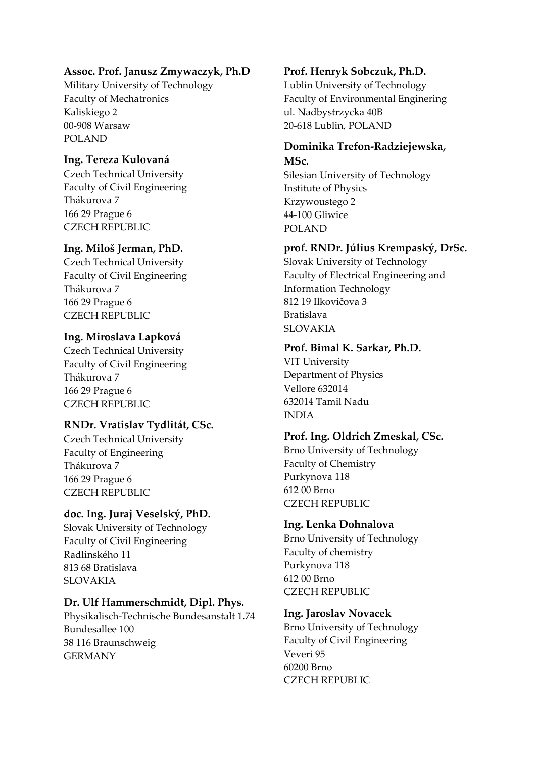# **Assoc. Prof. Janusz Zmywaczyk, Ph.D**

Military University of Technology Faculty of Mechatronics Kaliskiego 2 00‐908 Warsaw POLAND

# **Ing. Tereza Kulovaná**

Czech Technical University Faculty of Civil Engineering Thákurova 7 166 29 Prague 6 CZECH REPUBLIC

# **Ing. Miloš Jerman, PhD.**

Czech Technical University Faculty of Civil Engineering Thákurova 7 166 29 Prague 6 CZECH REPUBLIC

## **Ing. Miroslava Lapková**

Czech Technical University Faculty of Civil Engineering Thákurova 7 166 29 Prague 6 CZECH REPUBLIC

## **RNDr. Vratislav Tydlitát, CSc.**

Czech Technical University Faculty of Engineering Thákurova 7 166 29 Prague 6 CZECH REPUBLIC

## **doc. Ing. Juraj Veselský, PhD.**

Slovak University of Technology Faculty of Civil Engineering Radlinského 11 813 68 Bratislava SLOVAKIA

## **Dr. Ulf Hammerschmidt, Dipl. Phys.**

Physikalisch‐Technische Bundesanstalt 1.74 Bundesallee 100 38 116 Braunschweig GERMANY

# **Prof. Henryk Sobczuk, Ph.D.**

Lublin University of Technology Faculty of Environmental Enginering ul. Nadbystrzycka 40B 20‐618 Lublin, POLAND

#### **Dominika Trefon‐Radziejewska, MSc.**

Silesian University of Technology Institute of Physics Krzywoustego 2 44‐100 Gliwice POLAND

## **prof. RNDr. Július Krempaský, DrSc.**

Slovak University of Technology Faculty of Electrical Engineering and Information Technology 812 19 Ilkovičova 3 Bratislava SLOVAKIA

## **Prof. Bimal K. Sarkar, Ph.D.**

VIT University Department of Physics Vellore 632014 632014 Tamil Nadu INDIA

## **Prof. Ing. Oldrich Zmeskal, CSc.**

Brno University of Technology Faculty of Chemistry Purkynova 118 612 00 Brno CZECH REPUBLIC

## **Ing. Lenka Dohnalova**

Brno University of Technology Faculty of chemistry Purkynova 118 612 00 Brno CZECH REPUBLIC

## **Ing. Jaroslav Novacek**

Brno University of Technology Faculty of Civil Engineering Veveri 95 60200 Brno CZECH REPUBLIC